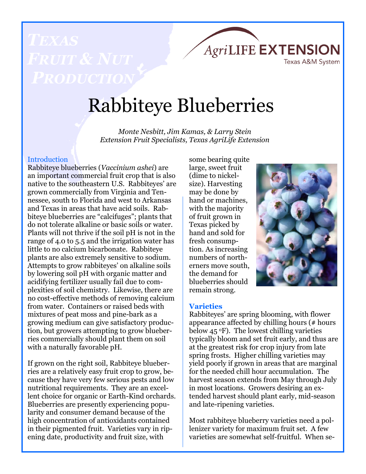

# Rabbiteye Blueberries

*Monte Nesbitt, Jim Kamas, & Larry Stein Extension Fruit Specialists, Texas AgriLife Extension*

# **Introduction**

Rabbiteye blueberries (*Vaccinium ashei*) are an important commercial fruit crop that is also native to the southeastern U.S. Rabbiteyes' are grown commercially from Virginia and Tennessee, south to Florida and west to Arkansas and Texas in areas that have acid soils. Rabbiteye blueberries are "calcifuges"; plants that do not tolerate alkaline or basic soils or water. Plants will not thrive if the soil pH is not in the range of 4.0 to 5.5 and the irrigation water has little to no calcium bicarbonate. Rabbiteye plants are also extremely sensitive to sodium. Attempts to grow rabbiteyes' on alkaline soils by lowering soil pH with organic matter and acidifying fertilizer usually fail due to complexities of soil chemistry. Likewise, there are no cost-effective methods of removing calcium from water. Containers or raised beds with mixtures of peat moss and pine-bark as a growing medium can give satisfactory production, but growers attempting to grow blueberries commercially should plant them on soil with a naturally favorable pH.

If grown on the right soil, Rabbiteye blueberries are a relatively easy fruit crop to grow, because they have very few serious pests and low nutritional requirements. They are an excellent choice for organic or Earth-Kind orchards. Blueberries are presently experiencing popularity and consumer demand because of the high concentration of antioxidants contained in their pigmented fruit. Varieties vary in ripening date, productivity and fruit size, with

some bearing quite large, sweet fruit (dime to nickelsize). Harvesting may be done by hand or machines, with the majority of fruit grown in Texas picked by hand and sold for fresh consumption. As increasing numbers of northerners move south, the demand for blueberries should remain strong.



#### **Varieties**

Rabbiteyes' are spring blooming, with flower appearance affected by chilling hours (# hours below  $45 \text{°F}$ . The lowest chilling varieties typically bloom and set fruit early, and thus are at the greatest risk for crop injury from late spring frosts. Higher chilling varieties may yield poorly if grown in areas that are marginal for the needed chill hour accumulation. The harvest season extends from May through July in most locations. Growers desiring an extended harvest should plant early, mid-season and late-ripening varieties.

Most rabbiteye blueberry varieties need a pollenizer variety for maximum fruit set. A few varieties are somewhat self-fruitful. When se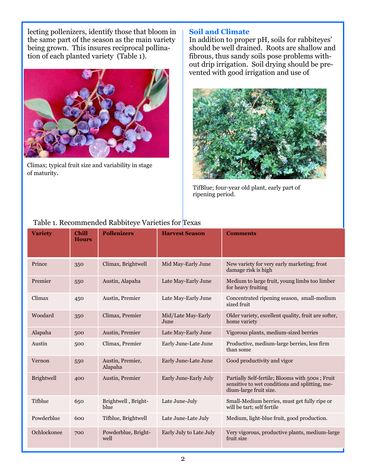lecting pollenizers, identify those that bloom in the same part of the season as the main variety being grown. This insures reciprocal pollination of each planted variety (Table 1).



Climax; typical fruit size and variability in stage of maturity.

## **Soil and Climate**

In addition to proper pH, soils for rabbiteyes' should be well drained. Roots are shallow and fibrous, thus sandy soils pose problems without drip irrigation. Soil drying should be prevented with good irrigation and use of



TifBlue; four-year old plant, early part of ripening period.

| <b>Variety</b>    | <b>Chill</b><br><b>Hours</b> | <b>Pollenizers</b>          | <b>Harvest Season</b>      | <b>Comments</b>                                                                                                             |
|-------------------|------------------------------|-----------------------------|----------------------------|-----------------------------------------------------------------------------------------------------------------------------|
| Prince            | 350                          | Climax, Brightwell          | Mid May-Early June         | New variety for very early marketing; frost<br>damage risk is high                                                          |
| Premier           | 550                          | Austin, Alapaha             | Late May-Early June        | Medium to large fruit, young limbs too limber<br>for heavy fruiting                                                         |
| Climax            | 450                          | Austin, Premier             | Late May-Early June        | Concentrated ripening season, small-medium<br>sized fruit                                                                   |
| Woodard           | 350                          | Climax, Premier             | Mid/Late May-Early<br>June | Older variety, excellent quality, fruit are softer,<br>home variety                                                         |
| Alapaha           | 500                          | Austin, Premier             | Late May-Early June        | Vigorous plants, medium-sized berries                                                                                       |
| Austin            | 500                          | Climax, Premier             | Early June-Late June       | Productive, medium-large berries, less firm<br>than some                                                                    |
| Vernon            | 550                          | Austin, Premier,<br>Alapaha | Early June-Late June       | Good productivity and vigor                                                                                                 |
| <b>Brightwell</b> | 400                          | Austin, Premier             | Early June-Early July      | Partially Self-fertile; Blooms with 500s; Fruit<br>sensitive to wet conditions and splitting, me-<br>dium-large fruit size. |
| Tifblue           | 650                          | Brightwell, Bright-<br>blue | Late June-July             | Small-Medium berries, must get fully ripe or<br>will be tart; self fertile                                                  |
| Powderblue        | 600                          | Tifblue, Brightwell         | Late June-Late July        | Medium, light-blue fruit, good production.                                                                                  |
| Ochlockonee       | 700                          | Powderblue, Bright-<br>well | Early July to Late July    | Very vigorous, productive plants, medium-large<br>fruit size                                                                |

# Table 1. Recommended Rabbiteye Varieties for Texas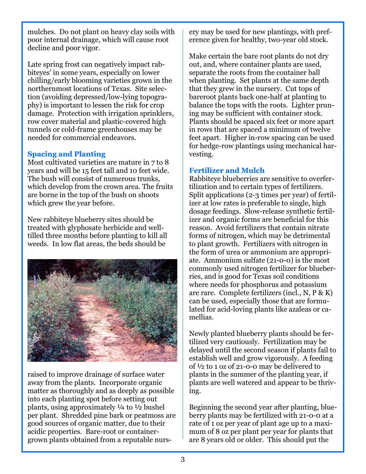mulches. Do not plant on heavy clay soils with poor internal drainage, which will cause root decline and poor vigor.

Late spring frost can negatively impact rabbiteyes' in some years, especially on lower chilling/early blooming varieties grown in the northernmost locations of Texas. Site selection (avoiding depressed/low-lying topography) is important to lessen the risk for crop damage. Protection with irrigation sprinklers, row cover material and plastic-covered high tunnels or cold-frame greenhouses may be needed for commercial endeavors.

# **Spacing and Planting**

Most cultivated varieties are mature in 7 to 8 years and will be 15 feet tall and 10 feet wide. The bush will consist of numerous trunks, which develop from the crown area. The fruits are borne in the top of the bush on shoots which grew the year before.

New rabbiteye blueberry sites should be treated with glyphosate herbicide and welltilled three months before planting to kill all weeds. In low flat areas, the beds should be



raised to improve drainage of surface water away from the plants. Incorporate organic matter as thoroughly and as deeply as possible into each planting spot before setting out plants, using approximately ¼ to ½ bushel per plant. Shredded pine bark or peatmoss are good sources of organic matter, due to their acidic properties. Bare-root or containergrown plants obtained from a reputable nursery may be used for new plantings, with preference given for healthy, two-year old stock.

Make certain the bare root plants do not dry out, and, where container plants are used, separate the roots from the container ball when planting. Set plants at the same depth that they grew in the nursery. Cut tops of bareroot plants back one-half at planting to balance the tops with the roots. Lighter pruning may be sufficient with container stock. Plants should be spaced six feet or more apart in rows that are spaced a minimum of twelve feet apart. Higher in-row spacing can be used for hedge-row plantings using mechanical harvesting.

# **Fertilizer and Mulch**

Rabbiteye blueberries are sensitive to overfertilization and to certain types of fertilizers. Split applications (2-3 times per year) of fertilizer at low rates is preferable to single, high dosage feedings. Slow-release synthetic fertilizer and organic forms are beneficial for this reason. Avoid fertilizers that contain nitrate forms of nitrogen, which may be detrimental to plant growth. Fertilizers with nitrogen in the form of urea or ammonium are appropriate. Ammonium sulfate (21-0-0) is the most commonly used nitrogen fertilizer for blueberries, and is good for Texas soil conditions where needs for phosphorus and potassium are rare. Complete fertilizers (incl., N, P & K) can be used, especially those that are formulated for acid-loving plants like azaleas or camellias.

Newly planted blueberry plants should be fertilized very cautiously. Fertilization may be delayed until the second season if plants fail to establish well and grow vigorously. A feeding of ½ to 1 oz of 21-0-0 may be delivered to plants in the summer of the planting year, if plants are well watered and appear to be thriving.

Beginning the second year after planting, blueberry plants may be fertilized with 21-0-0 at a rate of 1 oz per year of plant age up to a maximum of 8 oz per plant per year for plants that are 8 years old or older. This should put the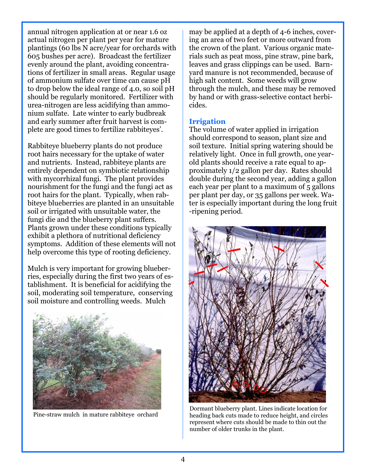annual nitrogen application at or near 1.6 oz actual nitrogen per plant per year for mature plantings (60 lbs N acre/year for orchards with 605 bushes per acre). Broadcast the fertilizer evenly around the plant, avoiding concentrations of fertilizer in small areas. Regular usage of ammonium sulfate over time can cause pH to drop below the ideal range of 4.0, so soil pH should be regularly monitored. Fertilizer with urea-nitrogen are less acidifying than ammonium sulfate. Late winter to early budbreak and early summer after fruit harvest is complete are good times to fertilize rabbiteyes'.

Rabbiteye blueberry plants do not produce root hairs necessary for the uptake of water and nutrients. Instead, rabbiteye plants are entirely dependent on symbiotic relationship with mycorrhizal fungi. The plant provides nourishment for the fungi and the fungi act as root hairs for the plant. Typically, when rabbiteye blueberries are planted in an unsuitable soil or irrigated with unsuitable water, the fungi die and the blueberry plant suffers. Plants grown under these conditions typically exhibit a plethora of nutritional deficiency symptoms. Addition of these elements will not help overcome this type of rooting deficiency.

Mulch is very important for growing blueberries, especially during the first two years of establishment. It is beneficial for acidifying the soil, moderating soil temperature, conserving soil moisture and controlling weeds. Mulch



Pine-straw mulch in mature rabbiteye orchard

may be applied at a depth of 4-6 inches, covering an area of two feet or more outward from the crown of the plant. Various organic materials such as peat moss, pine straw, pine bark, leaves and grass clippings can be used. Barnyard manure is not recommended, because of high salt content. Some weeds will grow through the mulch, and these may be removed by hand or with grass-selective contact herbicides.

#### **Irrigation**

The volume of water applied in irrigation should correspond to season, plant size and soil texture. Initial spring watering should be relatively light. Once in full growth, one yearold plants should receive a rate equal to approximately 1/2 gallon per day. Rates should double during the second year, adding a gallon each year per plant to a maximum of 5 gallons per plant per day, or 35 gallons per week. Water is especially important during the long fruit -ripening period.



Dormant blueberry plant. Lines indicate location for heading back cuts made to reduce height, and circles represent where cuts should be made to thin out the number of older trunks in the plant.